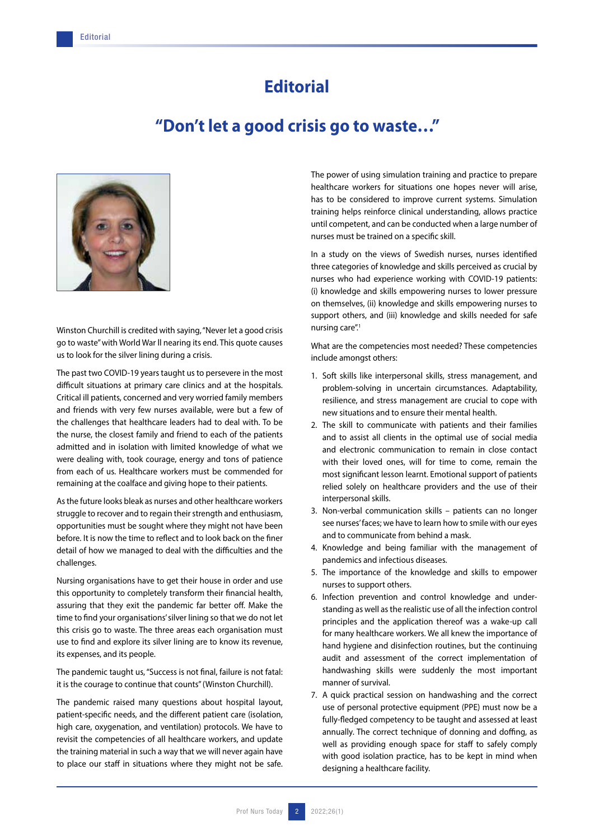## **Editorial**

## **"Don't let a good crisis go to waste…"**



Winston Churchill is credited with saying, "Never let a good crisis go to waste" with World War ll nearing its end. This quote causes us to look for the silver lining during a crisis.

The past two COVID-19 years taught us to persevere in the most difficult situations at primary care clinics and at the hospitals. Critical ill patients, concerned and very worried family members and friends with very few nurses available, were but a few of the challenges that healthcare leaders had to deal with. To be the nurse, the closest family and friend to each of the patients admitted and in isolation with limited knowledge of what we were dealing with, took courage, energy and tons of patience from each of us. Healthcare workers must be commended for remaining at the coalface and giving hope to their patients.

As the future looks bleak as nurses and other healthcare workers struggle to recover and to regain their strength and enthusiasm, opportunities must be sought where they might not have been before. It is now the time to reflect and to look back on the finer detail of how we managed to deal with the difficulties and the challenges.

Nursing organisations have to get their house in order and use this opportunity to completely transform their financial health, assuring that they exit the pandemic far better off. Make the time to find your organisations' silver lining so that we do not let this crisis go to waste. The three areas each organisation must use to find and explore its silver lining are to know its revenue, its expenses, and its people.

The pandemic taught us, "Success is not final, failure is not fatal: it is the courage to continue that counts" (Winston Churchill).

The pandemic raised many questions about hospital layout, patient-specific needs, and the different patient care (isolation, high care, oxygenation, and ventilation) protocols. We have to revisit the competencies of all healthcare workers, and update the training material in such a way that we will never again have to place our staff in situations where they might not be safe. The power of using simulation training and practice to prepare healthcare workers for situations one hopes never will arise, has to be considered to improve current systems. Simulation training helps reinforce clinical understanding, allows practice until competent, and can be conducted when a large number of nurses must be trained on a specific skill.

In a study on the views of Swedish nurses, nurses identified three categories of knowledge and skills perceived as crucial by nurses who had experience working with COVID-19 patients: (i) knowledge and skills empowering nurses to lower pressure on themselves, (ii) knowledge and skills empowering nurses to support others, and (iii) knowledge and skills needed for safe nursing care".1

What are the competencies most needed? These competencies include amongst others:

- 1. Soft skills like interpersonal skills, stress management, and problem-solving in uncertain circumstances. Adaptability, resilience, and stress management are crucial to cope with new situations and to ensure their mental health.
- 2. The skill to communicate with patients and their families and to assist all clients in the optimal use of social media and electronic communication to remain in close contact with their loved ones, will for time to come, remain the most significant lesson learnt. Emotional support of patients relied solely on healthcare providers and the use of their interpersonal skills.
- 3. Non-verbal communication skills patients can no longer see nurses' faces; we have to learn how to smile with our eyes and to communicate from behind a mask.
- 4. Knowledge and being familiar with the management of pandemics and infectious diseases.
- 5. The importance of the knowledge and skills to empower nurses to support others.
- 6. Infection prevention and control knowledge and understanding as well as the realistic use of all the infection control principles and the application thereof was a wake-up call for many healthcare workers. We all knew the importance of hand hygiene and disinfection routines, but the continuing audit and assessment of the correct implementation of handwashing skills were suddenly the most important manner of survival.
- 7. A quick practical session on handwashing and the correct use of personal protective equipment (PPE) must now be a fully-fledged competency to be taught and assessed at least annually. The correct technique of donning and doffing, as well as providing enough space for staff to safely comply with good isolation practice, has to be kept in mind when designing a healthcare facility.